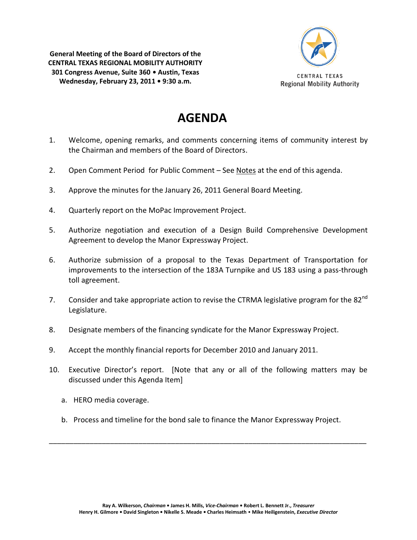**General Meeting of the Board of Directors of the CENTRAL TEXAS REGIONAL MOBILITY AUTHORITY 301 Congress Avenue, Suite 360 • Austin, Texas Wednesday, February 23, 2011 • 9:30 a.m.**



## **AGENDA**

- 1. Welcome, opening remarks, and comments concerning items of community interest by the Chairman and members of the Board of Directors.
- 2. Open Comment Period for Public Comment See Notes at the end of this agenda.
- 3. Approve the minutes for the January 26, 2011 General Board Meeting.
- 4. Quarterly report on the MoPac Improvement Project.
- 5. Authorize negotiation and execution of a Design Build Comprehensive Development Agreement to develop the Manor Expressway Project.
- 6. Authorize submission of a proposal to the Texas Department of Transportation for improvements to the intersection of the 183A Turnpike and US 183 using a pass-through toll agreement.
- 7. Consider and take appropriate action to revise the CTRMA legislative program for the 82<sup>nd</sup> Legislature.
- 8. Designate members of the financing syndicate for the Manor Expressway Project.
- 9. Accept the monthly financial reports for December 2010 and January 2011.
- 10. Executive Director's report. [Note that any or all of the following matters may be discussed under this Agenda Item]
	- a. HERO media coverage.
	- b. Process and timeline for the bond sale to finance the Manor Expressway Project.

\_\_\_\_\_\_\_\_\_\_\_\_\_\_\_\_\_\_\_\_\_\_\_\_\_\_\_\_\_\_\_\_\_\_\_\_\_\_\_\_\_\_\_\_\_\_\_\_\_\_\_\_\_\_\_\_\_\_\_\_\_\_\_\_\_\_\_\_\_\_\_\_\_\_\_\_\_\_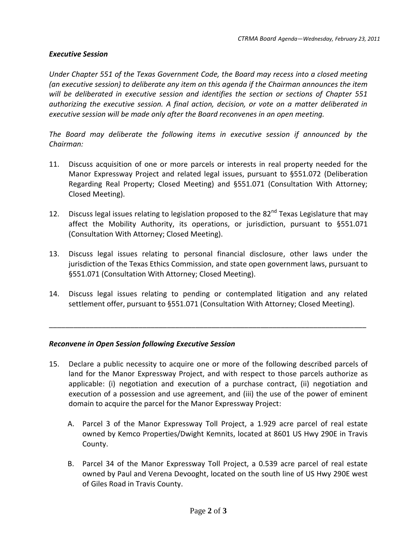## *Executive Session*

*Under Chapter 551 of the Texas Government Code, the Board may recess into a closed meeting (an executive session) to deliberate any item on this agenda if the Chairman announces the item will be deliberated in executive session and identifies the section or sections of Chapter 551 authorizing the executive session. A final action, decision, or vote on a matter deliberated in executive session will be made only after the Board reconvenes in an open meeting.*

*The Board may deliberate the following items in executive session if announced by the Chairman:*

- 11. Discuss acquisition of one or more parcels or interests in real property needed for the Manor Expressway Project and related legal issues, pursuant to §551.072 (Deliberation Regarding Real Property; Closed Meeting) and §551.071 (Consultation With Attorney; Closed Meeting).
- 12. Discuss legal issues relating to legislation proposed to the 82<sup>nd</sup> Texas Legislature that may affect the Mobility Authority, its operations, or jurisdiction, pursuant to §551.071 (Consultation With Attorney; Closed Meeting).
- 13. Discuss legal issues relating to personal financial disclosure, other laws under the jurisdiction of the Texas Ethics Commission, and state open government laws, pursuant to §551.071 (Consultation With Attorney; Closed Meeting).
- 14. Discuss legal issues relating to pending or contemplated litigation and any related settlement offer, pursuant to §551.071 (Consultation With Attorney; Closed Meeting).

\_\_\_\_\_\_\_\_\_\_\_\_\_\_\_\_\_\_\_\_\_\_\_\_\_\_\_\_\_\_\_\_\_\_\_\_\_\_\_\_\_\_\_\_\_\_\_\_\_\_\_\_\_\_\_\_\_\_\_\_\_\_\_\_\_\_\_\_\_\_\_\_\_\_\_\_\_\_

## *Reconvene in Open Session following Executive Session*

- 15. Declare a public necessity to acquire one or more of the following described parcels of land for the Manor Expressway Project, and with respect to those parcels authorize as applicable: (i) negotiation and execution of a purchase contract, (ii) negotiation and execution of a possession and use agreement, and (iii) the use of the power of eminent domain to acquire the parcel for the Manor Expressway Project:
	- A. Parcel 3 of the Manor Expressway Toll Project, a 1.929 acre parcel of real estate owned by Kemco Properties/Dwight Kemnits, located at 8601 US Hwy 290E in Travis County.
	- B. Parcel 34 of the Manor Expressway Toll Project, a 0.539 acre parcel of real estate owned by Paul and Verena Devooght, located on the south line of US Hwy 290E west of Giles Road in Travis County.